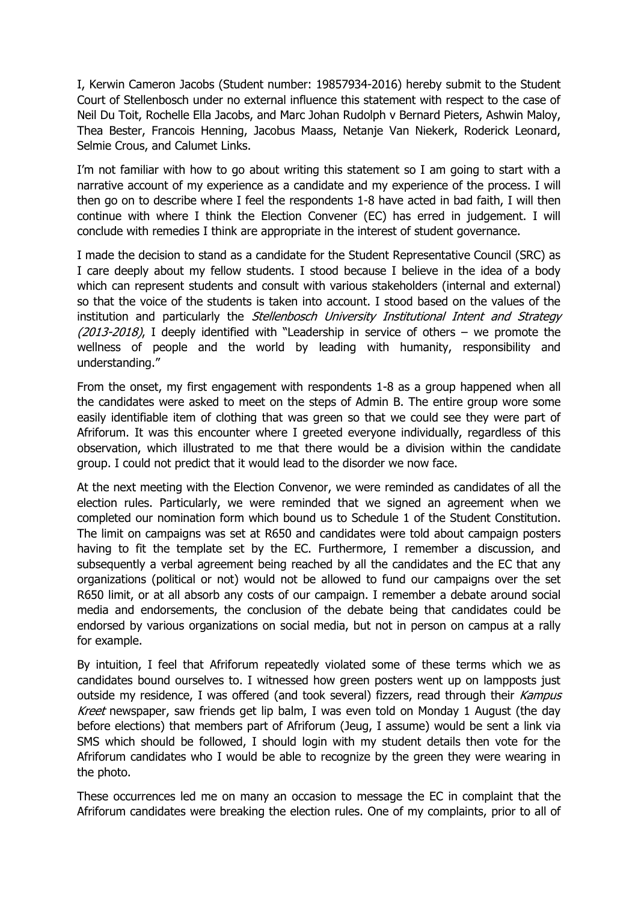I, Kerwin Cameron Jacobs (Student number: 19857934-2016) hereby submit to the Student Court of Stellenbosch under no external influence this statement with respect to the case of Neil Du Toit, Rochelle Ella Jacobs, and Marc Johan Rudolph v Bernard Pieters, Ashwin Maloy, Thea Bester, Francois Henning, Jacobus Maass, Netanje Van Niekerk, Roderick Leonard, Selmie Crous, and Calumet Links.

I'm not familiar with how to go about writing this statement so I am going to start with a narrative account of my experience as a candidate and my experience of the process. I will then go on to describe where I feel the respondents 1-8 have acted in bad faith, I will then continue with where I think the Election Convener (EC) has erred in judgement. I will conclude with remedies I think are appropriate in the interest of student governance.

I made the decision to stand as a candidate for the Student Representative Council (SRC) as I care deeply about my fellow students. I stood because I believe in the idea of a body which can represent students and consult with various stakeholders (internal and external) so that the voice of the students is taken into account. I stood based on the values of the institution and particularly the *Stellenbosch University Institutional Intent and Strategy*  $(2013-2018)$ , I deeply identified with "Leadership in service of others – we promote the wellness of people and the world by leading with humanity, responsibility and understanding."

From the onset, my first engagement with respondents 1-8 as a group happened when all the candidates were asked to meet on the steps of Admin B. The entire group wore some easily identifiable item of clothing that was green so that we could see they were part of Afriforum. It was this encounter where I greeted everyone individually, regardless of this observation, which illustrated to me that there would be a division within the candidate group. I could not predict that it would lead to the disorder we now face.

At the next meeting with the Election Convenor, we were reminded as candidates of all the election rules. Particularly, we were reminded that we signed an agreement when we completed our nomination form which bound us to Schedule 1 of the Student Constitution. The limit on campaigns was set at R650 and candidates were told about campaign posters having to fit the template set by the EC. Furthermore, I remember a discussion, and subsequently a verbal agreement being reached by all the candidates and the EC that any organizations (political or not) would not be allowed to fund our campaigns over the set R650 limit, or at all absorb any costs of our campaign. I remember a debate around social media and endorsements, the conclusion of the debate being that candidates could be endorsed by various organizations on social media, but not in person on campus at a rally for example.

By intuition, I feel that Afriforum repeatedly violated some of these terms which we as candidates bound ourselves to. I witnessed how green posters went up on lampposts just outside my residence, I was offered (and took several) fizzers, read through their Kampus Kreet newspaper, saw friends get lip balm, I was even told on Monday 1 August (the day before elections) that members part of Afriforum (Jeug, I assume) would be sent a link via SMS which should be followed, I should login with my student details then vote for the Afriforum candidates who I would be able to recognize by the green they were wearing in the photo.

These occurrences led me on many an occasion to message the EC in complaint that the Afriforum candidates were breaking the election rules. One of my complaints, prior to all of